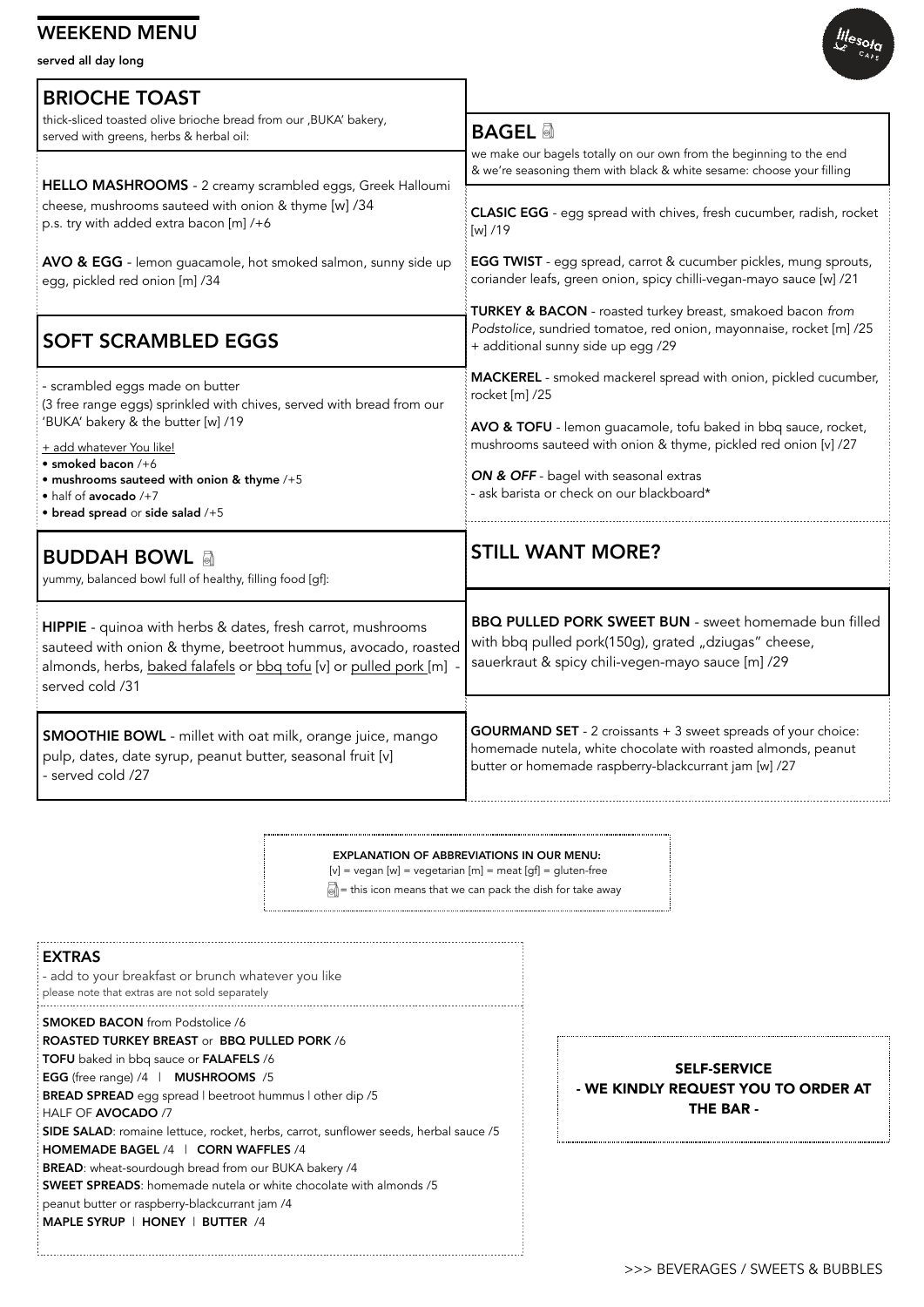#### WEEKEND MENU

served all day long





| <b>SELF-SERVICE</b>                 |
|-------------------------------------|
| - WE KINDLY REQUEST YOU TO ORDER AT |
| <b>THE BAR -</b>                    |
|                                     |

#### EXPLANATION OF ABBREVIATIONS IN OUR MENU:

 $[v]$  = vegan  $[w]$  = vegetarian  $[m]$  = meat  $[gf]$  = gluten-free

 $\sqrt{\phi}$  = this icon means that we can pack the dish for take away

#### EXTRAS

- add to your breakfast or brunch whatever you like

please note that extras are not sold separately

SMOKED BACON from Podstolice /6 ROASTED TURKEY BREAST or BBQ PULLED PORK /6 TOFU baked in bbq sauce or FALAFELS /6 EGG (free range) /4 | MUSHROOMS /5 BREAD SPREAD egg spread | beetroot hummus | other dip /5 HALF OF AVOCADO /7 SIDE SALAD: romaine lettuce, rocket, herbs, carrot, sunflower seeds, herbal sauce /5 HOMEMADE BAGEL /4 | CORN WAFFLES /4 BREAD: wheat-sourdough bread from our BUKA bakery /4 SWEET SPREADS: homemade nutela or white chocolate with almonds /5 peanut butter or raspberry-blackcurrant jam /4 MAPLE SYRUP | HONEY | BUTTER /4